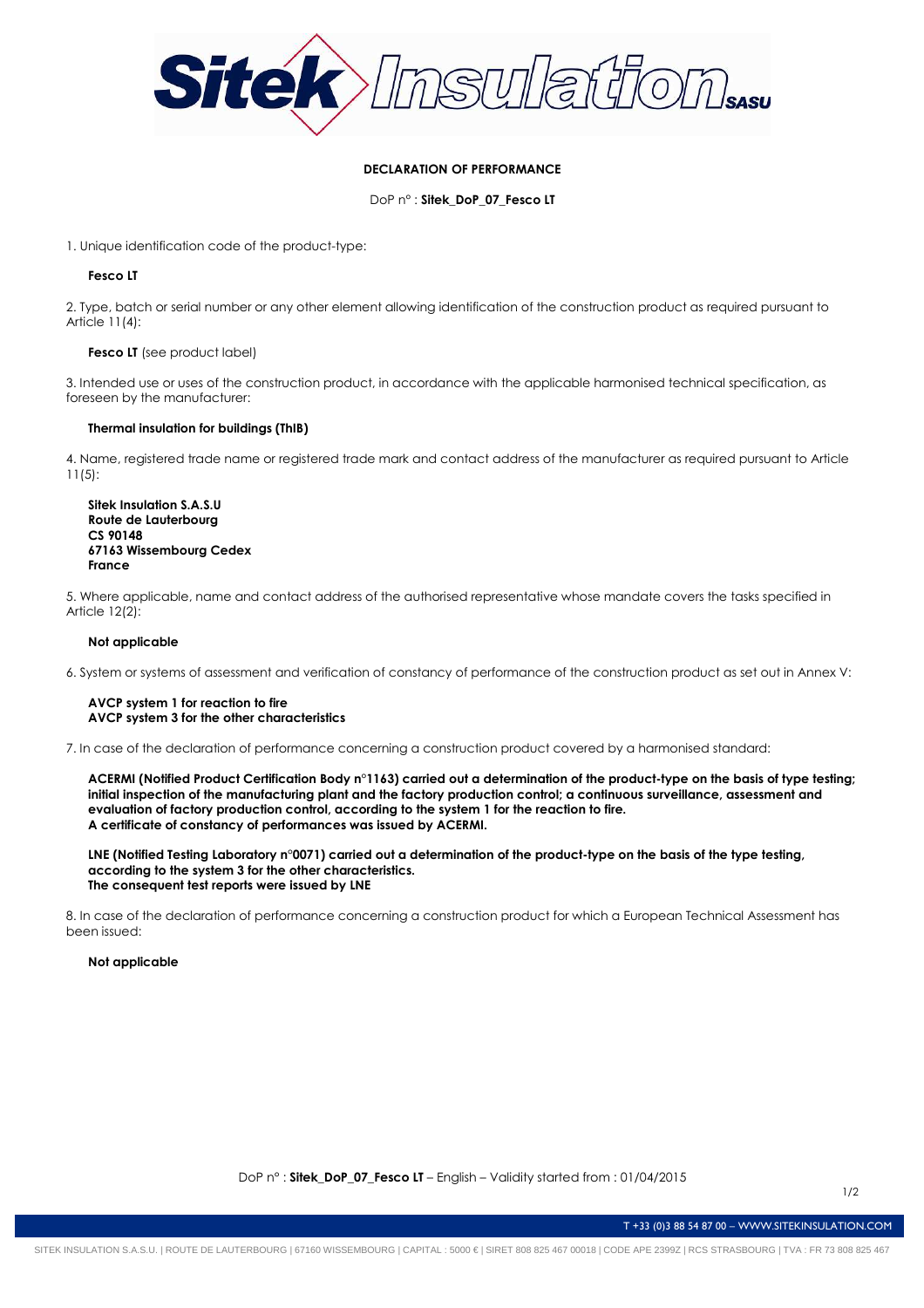

# **DECLARATION OF PERFORMANCE**

DoP n° : **Sitek\_DoP\_07\_Fesco LT**

1. Unique identification code of the product-type:

# **Fesco LT**

2. Type, batch or serial number or any other element allowing identification of the construction product as required pursuant to Article 11(4):

### **Fesco LT** (see product label)

3. Intended use or uses of the construction product, in accordance with the applicable harmonised technical specification, as foreseen by the manufacturer:

### **Thermal insulation for buildings (ThIB)**

4. Name, registered trade name or registered trade mark and contact address of the manufacturer as required pursuant to Article 11(5):

**Sitek Insulation S.A.S.U Route de Lauterbourg CS 90148 67163 Wissembourg Cedex France** 

5. Where applicable, name and contact address of the authorised representative whose mandate covers the tasks specified in Article 12(2):

## **Not applicable**

6. System or systems of assessment and verification of constancy of performance of the construction product as set out in Annex V:

### **AVCP system 1 for reaction to fire AVCP system 3 for the other characteristics**

7. In case of the declaration of performance concerning a construction product covered by a harmonised standard:

**ACERMI (Notified Product Certification Body n°1163) carried out a determination of the product-type on the basis of type testing; initial inspection of the manufacturing plant and the factory production control; a continuous surveillance, assessment and evaluation of factory production control, according to the system 1 for the reaction to fire. A certificate of constancy of performances was issued by ACERMI.** 

**LNE (Notified Testing Laboratory n°0071) carried out a determination of the product-type on the basis of the type testing, according to the system 3 for the other characteristics. The consequent test reports were issued by LNE** 

8. In case of the declaration of performance concerning a construction product for which a European Technical Assessment has been issued:

**Not applicable** 

T +33 (0)3 88 54 87 00 – WWW.SITEKINSULATION.COM